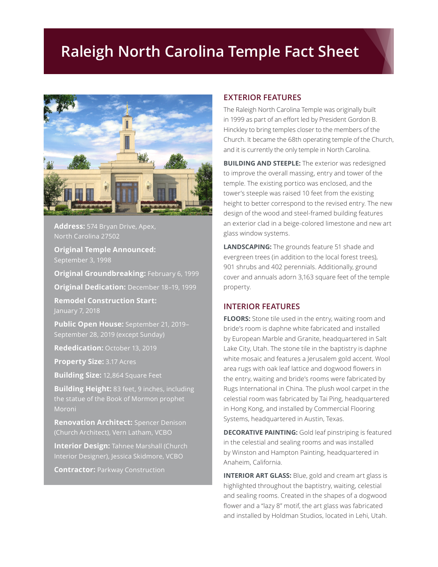## **Raleigh North Carolina Temple Fact Sheet**



**Address:** 574 Bryan Drive, Apex, North Carolina 27502

**Original Temple Announced:** September 3, 1998

**Original Groundbreaking:** February 6, 1999 **Original Dedication:** December 18–19, 1999

**Remodel Construction Start:** January 7, 2018

**Public Open House:** September 21, 2019– September 28, 2019 (except Sunday)

**Rededication:** October 13, 2019

**Property Size:** 3.17 Acres

**Building Size:** 12,864 Square Feet

**Building Height:** 83 feet, 9 inches, including the statue of the Book of Mormon prophet Moroni

**Renovation Architect:** Spencer Denison (Church Architect), Vern Latham, VCBO

**Interior Design:** Tahnee Marshall (Church Interior Designer), Jessica Skidmore, VCBO

**Contractor:** Parkway Construction

## **EXTERIOR FEATURES**

The Raleigh North Carolina Temple was originally built in 1999 as part of an effort led by President Gordon B. Hinckley to bring temples closer to the members of the Church. It became the 68th operating temple of the Church, and it is currently the only temple in North Carolina.

**BUILDING AND STEEPLE:** The exterior was redesigned to improve the overall massing, entry and tower of the temple. The existing portico was enclosed, and the tower's steeple was raised 10 feet from the existing height to better correspond to the revised entry. The new design of the wood and steel-framed building features an exterior clad in a beige-colored limestone and new art glass window systems.

**LANDSCAPING:** The grounds feature 51 shade and evergreen trees (in addition to the local forest trees), 901 shrubs and 402 perennials. Additionally, ground cover and annuals adorn 3,163 square feet of the temple property.

## **INTERIOR FEATURES**

**FLOORS:** Stone tile used in the entry, waiting room and bride's room is daphne white fabricated and installed by European Marble and Granite, headquartered in Salt Lake City, Utah. The stone tile in the baptistry is daphne white mosaic and features a Jerusalem gold accent. Wool area rugs with oak leaf lattice and dogwood flowers in the entry, waiting and bride's rooms were fabricated by Rugs International in China. The plush wool carpet in the celestial room was fabricated by Tai Ping, headquartered in Hong Kong, and installed by Commercial Flooring Systems, headquartered in Austin, Texas.

**DECORATIVE PAINTING:** Gold leaf pinstriping is featured in the celestial and sealing rooms and was installed by Winston and Hampton Painting, headquartered in Anaheim, California.

**INTERIOR ART GLASS:** Blue, gold and cream art glass is highlighted throughout the baptistry, waiting, celestial and sealing rooms. Created in the shapes of a dogwood flower and a "lazy 8" motif, the art glass was fabricated and installed by Holdman Studios, located in Lehi, Utah.